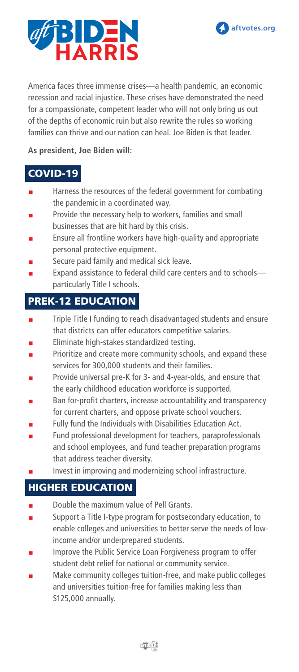

**aftvotes.org**

America faces three immense crises—a health pandemic, an economic recession and racial injustice. These crises have demonstrated the need for a compassionate, competent leader who will not only bring us out of the depths of economic ruin but also rewrite the rules so working families can thrive and our nation can heal. Joe Biden is that leader.

#### **As president, Joe Biden will:**

#### COVID-19

- Harness the resources of the federal government for combating the pandemic in a coordinated way.
- Provide the necessary help to workers, families and small businesses that are hit hard by this crisis.
- Ensure all frontline workers have high-quality and appropriate personal protective equipment.
- Secure paid family and medical sick leave.
- Expand assistance to federal child care centers and to schoolsparticularly Title I schools.

# PREK-12 EDUCATION

- Triple Title I funding to reach disadvantaged students and ensure that districts can offer educators competitive salaries.
- Eliminate high-stakes standardized testing.
- Prioritize and create more community schools, and expand these services for 300,000 students and their families.
- Provide universal pre-K for 3- and 4-year-olds, and ensure that the early childhood education workforce is supported.
- Ban for-profit charters, increase accountability and transparency for current charters, and oppose private school vouchers.
- Fully fund the Individuals with Disabilities Education Act.
- Fund professional development for teachers, paraprofessionals and school employees, and fund teacher preparation programs that address teacher diversity.
- Invest in improving and modernizing school infrastructure.

#### HIGHER EDUCATION

- Double the maximum value of Pell Grants.
- Support a Title I-type program for postsecondary education, to enable colleges and universities to better serve the needs of lowincome and/or underprepared students.
- Improve the Public Service Loan Forgiveness program to offer student debt relief for national or community service.
- Make community colleges tuition-free, and make public colleges and universities tuition-free for families making less than \$125,000 annually.